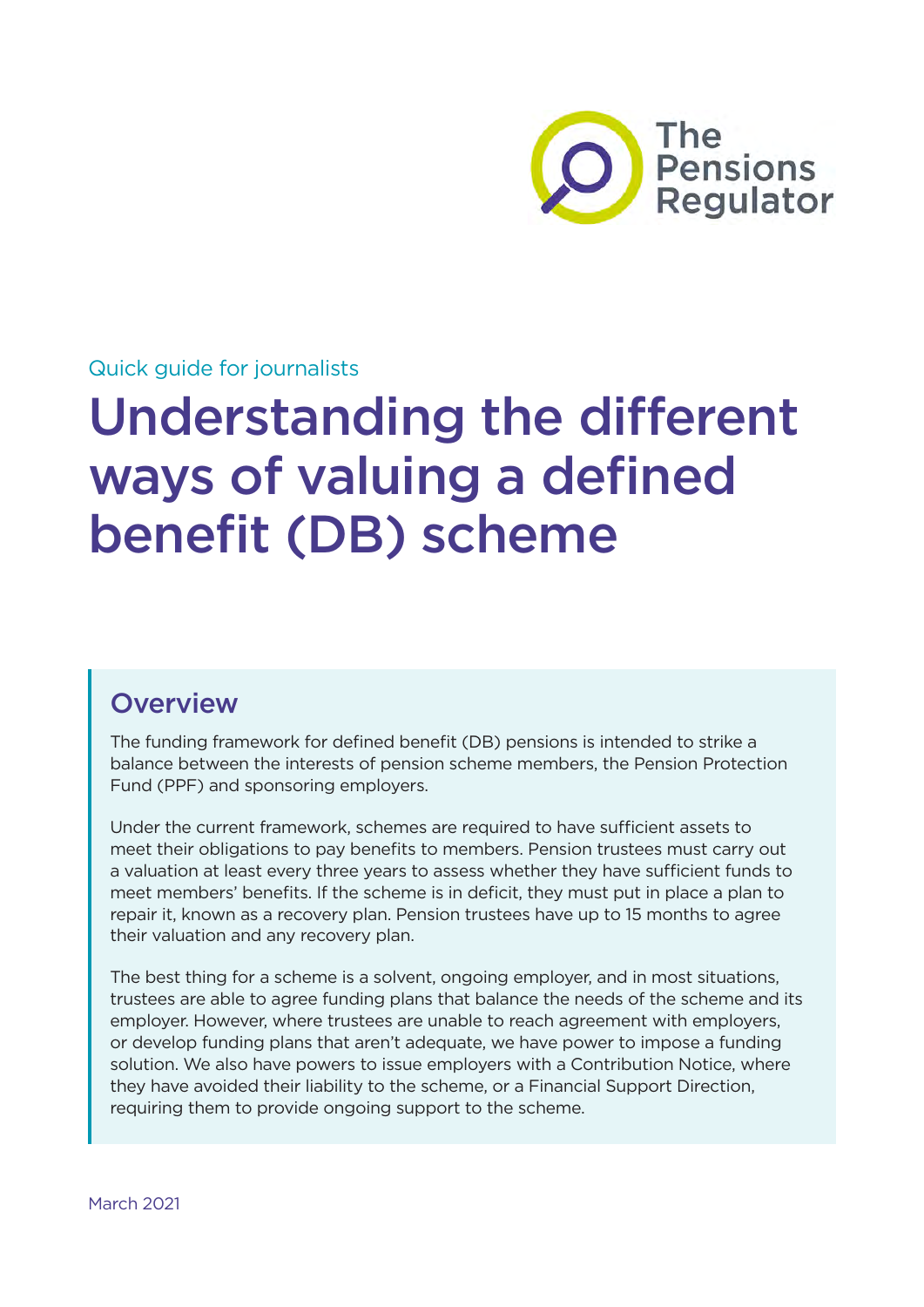

# Quick guide for journalists

# Understanding the different ways of valuing a defined benefit (DB) scheme

# **Overview**

The funding framework for defined benefit (DB) pensions is intended to strike a balance between the interests of pension scheme members, the Pension Protection Fund (PPF) and sponsoring employers.

Under the current framework, schemes are required to have sufficient assets to meet their obligations to pay benefits to members. Pension trustees must carry out a valuation at least every three years to assess whether they have sufficient funds to meet members' benefits. If the scheme is in deficit, they must put in place a plan to repair it, known as a recovery plan. Pension trustees have up to 15 months to agree their valuation and any recovery plan.

The best thing for a scheme is a solvent, ongoing employer, and in most situations, trustees are able to agree funding plans that balance the needs of the scheme and its employer. However, where trustees are unable to reach agreement with employers, or develop funding plans that aren't adequate, we have power to impose a funding solution. We also have powers to issue employers with a Contribution Notice, where they have avoided their liability to the scheme, or a Financial Support Direction, requiring them to provide ongoing support to the scheme.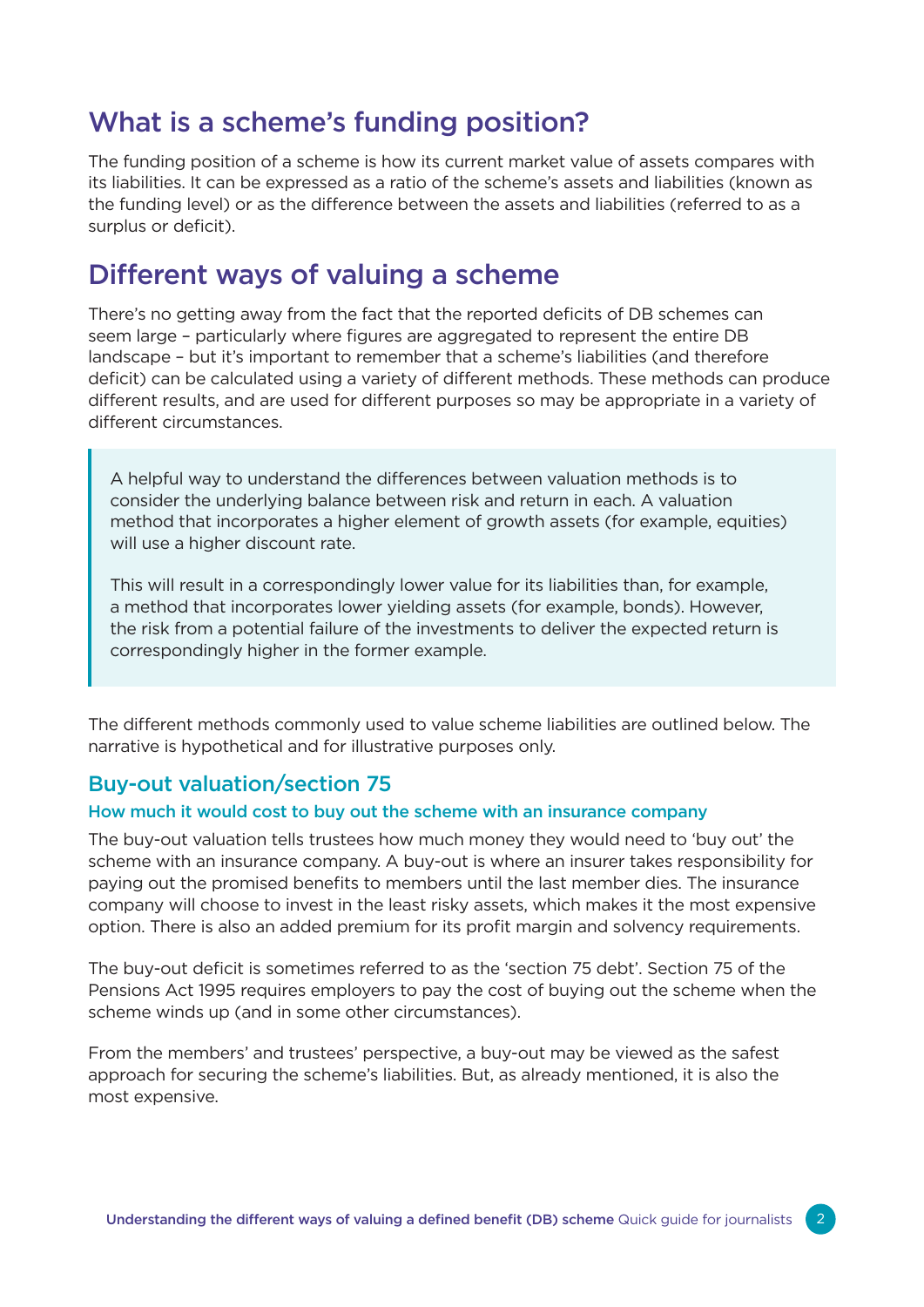# What is a scheme's funding position?

The funding position of a scheme is how its current market value of assets compares with its liabilities. It can be expressed as a ratio of the scheme's assets and liabilities (known as the funding level) or as the difference between the assets and liabilities (referred to as a surplus or deficit).

# Different ways of valuing a scheme

There's no getting away from the fact that the reported deficits of DB schemes can seem large – particularly where figures are aggregated to represent the entire DB landscape – but it's important to remember that a scheme's liabilities (and therefore deficit) can be calculated using a variety of different methods. These methods can produce different results, and are used for different purposes so may be appropriate in a variety of different circumstances.

A helpful way to understand the differences between valuation methods is to consider the underlying balance between risk and return in each. A valuation method that incorporates a higher element of growth assets (for example, equities) will use a higher discount rate.

This will result in a correspondingly lower value for its liabilities than, for example, a method that incorporates lower yielding assets (for example, bonds). However, the risk from a potential failure of the investments to deliver the expected return is correspondingly higher in the former example.

The different methods commonly used to value scheme liabilities are outlined below. The narrative is hypothetical and for illustrative purposes only.

# Buy-out valuation/section 75

#### How much it would cost to buy out the scheme with an insurance company

The buy-out valuation tells trustees how much money they would need to 'buy out' the scheme with an insurance company. A buy-out is where an insurer takes responsibility for paying out the promised benefits to members until the last member dies. The insurance company will choose to invest in the least risky assets, which makes it the most expensive option. There is also an added premium for its profit margin and solvency requirements.

The buy-out deficit is sometimes referred to as the 'section 75 debt'. Section 75 of the Pensions Act 1995 requires employers to pay the cost of buying out the scheme when the scheme winds up (and in some other circumstances).

From the members' and trustees' perspective, a buy-out may be viewed as the safest approach for securing the scheme's liabilities. But, as already mentioned, it is also the most expensive.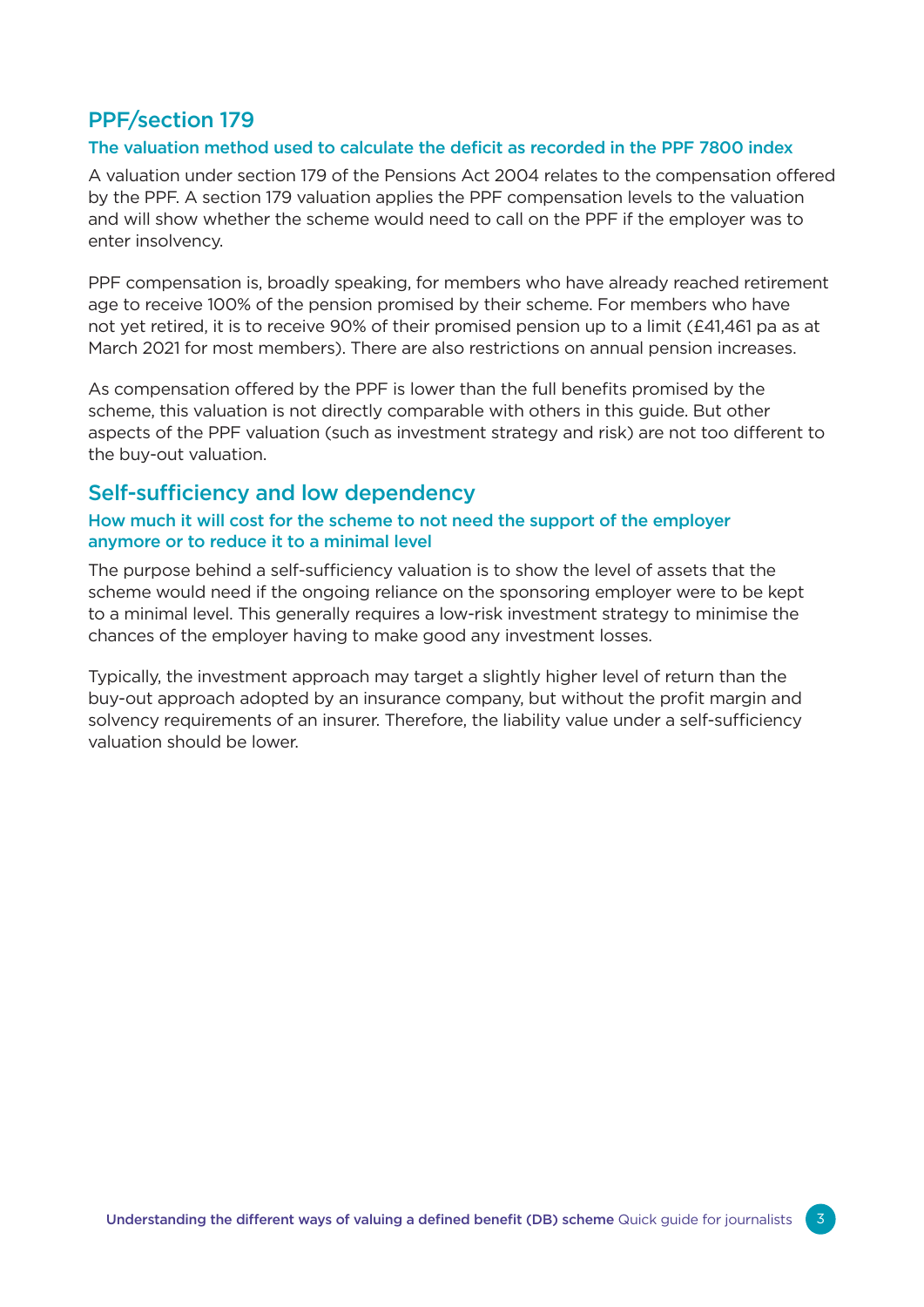# PPF/section 179

#### The valuation method used to calculate the deficit as recorded in the PPF 7800 index

A valuation under section 179 of the Pensions Act 2004 relates to the compensation offered by the PPF. A section 179 valuation applies the PPF compensation levels to the valuation and will show whether the scheme would need to call on the PPF if the employer was to enter insolvency.

PPF compensation is, broadly speaking, for members who have already reached retirement age to receive 100% of the pension promised by their scheme. For members who have not yet retired, it is to receive 90% of their promised pension up to a limit (£41,461 pa as at March 2021 for most members). There are also restrictions on annual pension increases.

As compensation offered by the PPF is lower than the full benefits promised by the scheme, this valuation is not directly comparable with others in this guide. But other aspects of the PPF valuation (such as investment strategy and risk) are not too different to the buy-out valuation.

## Self-sufficiency and low dependency

## How much it will cost for the scheme to not need the support of the employer anymore or to reduce it to a minimal level

The purpose behind a self-sufficiency valuation is to show the level of assets that the scheme would need if the ongoing reliance on the sponsoring employer were to be kept to a minimal level. This generally requires a low-risk investment strategy to minimise the chances of the employer having to make good any investment losses.

Typically, the investment approach may target a slightly higher level of return than the buy-out approach adopted by an insurance company, but without the profit margin and solvency requirements of an insurer. Therefore, the liability value under a self-sufficiency valuation should be lower.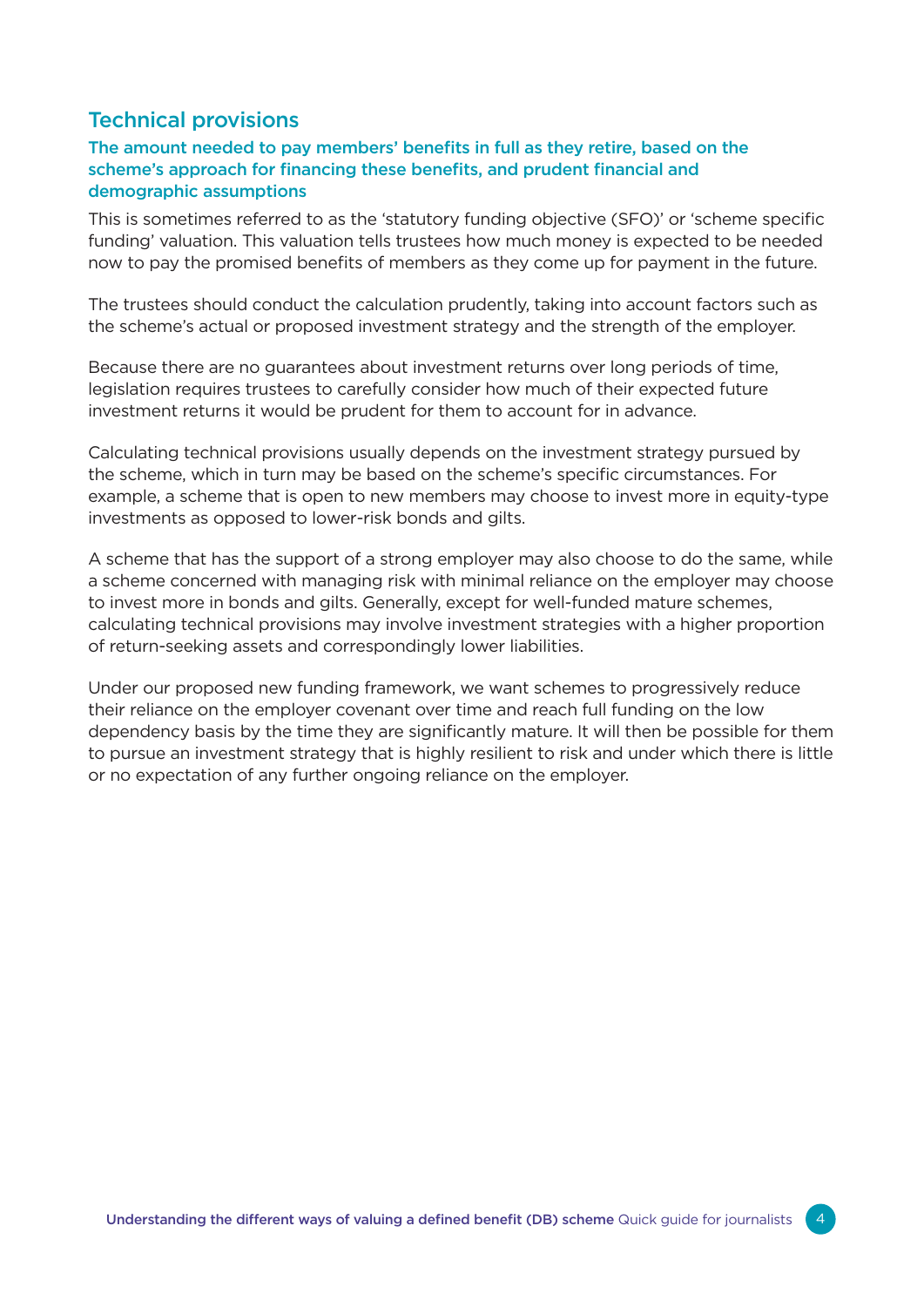# Technical provisions

## The amount needed to pay members' benefits in full as they retire, based on the scheme's approach for financing these benefits, and prudent financial and demographic assumptions

This is sometimes referred to as the 'statutory funding objective (SFO)' or 'scheme specific funding' valuation. This valuation tells trustees how much money is expected to be needed now to pay the promised benefits of members as they come up for payment in the future.

The trustees should conduct the calculation prudently, taking into account factors such as the scheme's actual or proposed investment strategy and the strength of the employer.

Because there are no guarantees about investment returns over long periods of time, legislation requires trustees to carefully consider how much of their expected future investment returns it would be prudent for them to account for in advance.

Calculating technical provisions usually depends on the investment strategy pursued by the scheme, which in turn may be based on the scheme's specific circumstances. For example, a scheme that is open to new members may choose to invest more in equity-type investments as opposed to lower-risk bonds and gilts.

A scheme that has the support of a strong employer may also choose to do the same, while a scheme concerned with managing risk with minimal reliance on the employer may choose to invest more in bonds and gilts. Generally, except for well-funded mature schemes, calculating technical provisions may involve investment strategies with a higher proportion of return-seeking assets and correspondingly lower liabilities.

Under our proposed new funding framework, we want schemes to progressively reduce their reliance on the employer covenant over time and reach full funding on the low dependency basis by the time they are significantly mature. It will then be possible for them to pursue an investment strategy that is highly resilient to risk and under which there is little or no expectation of any further ongoing reliance on the employer.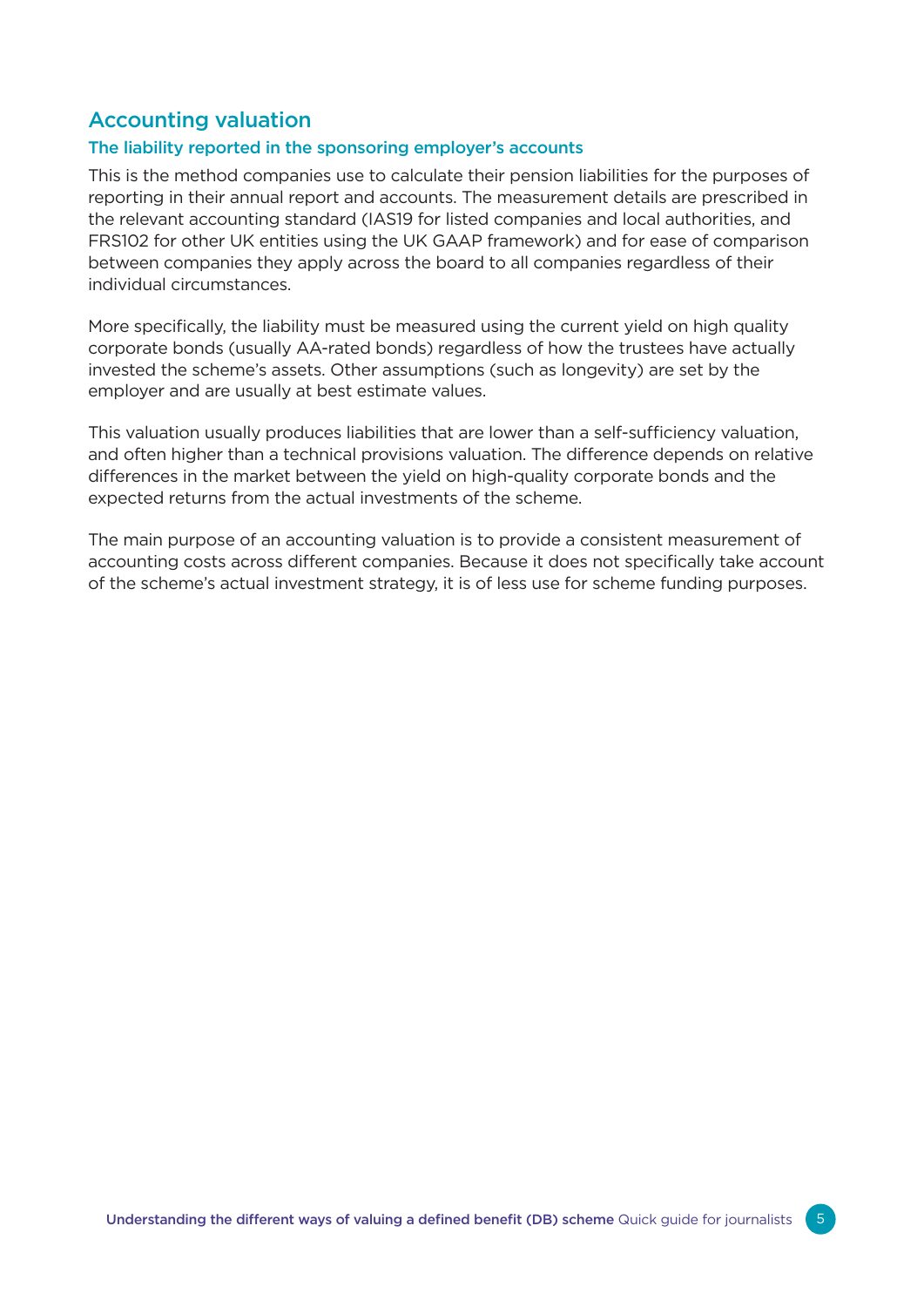# Accounting valuation

## The liability reported in the sponsoring employer's accounts

This is the method companies use to calculate their pension liabilities for the purposes of reporting in their annual report and accounts. The measurement details are prescribed in the relevant accounting standard (IAS19 for listed companies and local authorities, and FRS102 for other UK entities using the UK GAAP framework) and for ease of comparison between companies they apply across the board to all companies regardless of their individual circumstances.

More specifically, the liability must be measured using the current yield on high quality corporate bonds (usually AA-rated bonds) regardless of how the trustees have actually invested the scheme's assets. Other assumptions (such as longevity) are set by the employer and are usually at best estimate values.

This valuation usually produces liabilities that are lower than a self-sufficiency valuation, and often higher than a technical provisions valuation. The difference depends on relative differences in the market between the yield on high-quality corporate bonds and the expected returns from the actual investments of the scheme.

The main purpose of an accounting valuation is to provide a consistent measurement of accounting costs across different companies. Because it does not specifically take account of the scheme's actual investment strategy, it is of less use for scheme funding purposes.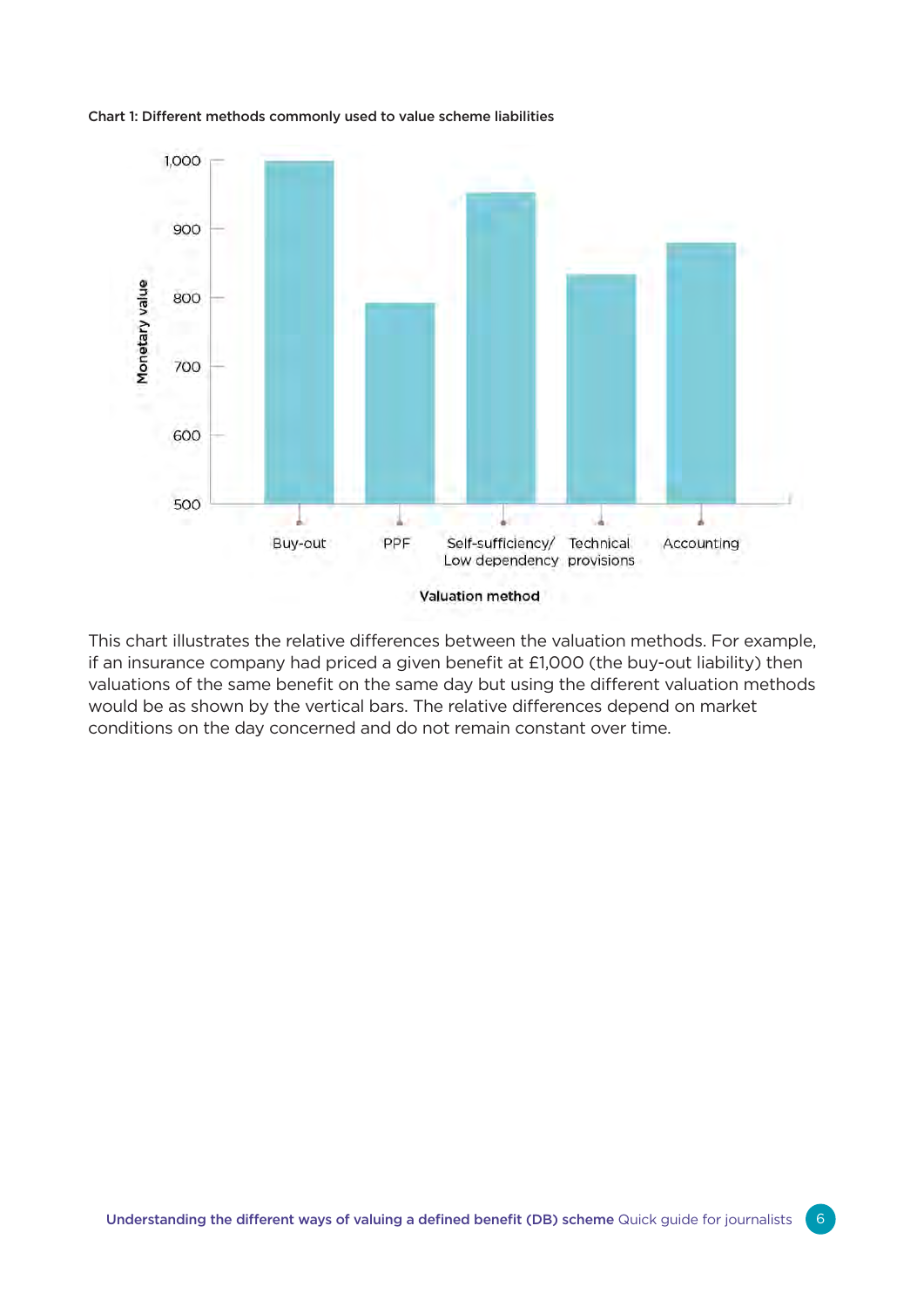

#### Chart 1: Different methods commonly used to value scheme liabilities

This chart illustrates the relative differences between the valuation methods. For example, if an insurance company had priced a given benefit at £1,000 (the buy-out liability) then valuations of the same benefit on the same day but using the different valuation methods would be as shown by the vertical bars. The relative differences depend on market conditions on the day concerned and do not remain constant over time.